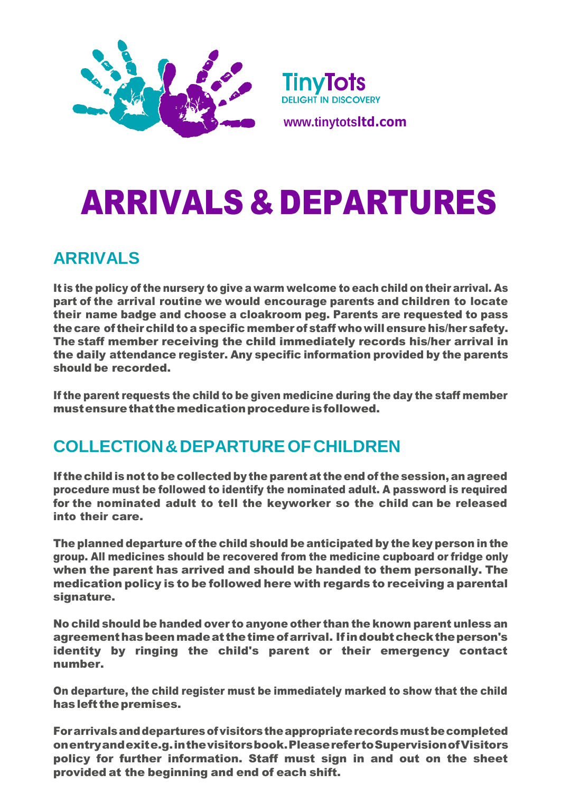



**[www.tinytots](http://www.tinytotsltd.com/)ltd.com**

# ARRIVALS & DEPARTURES

### **ARRIVALS**

It is the policy of the nursery to give a warm welcome to each child on their arrival. As part of the arrival routine we would encourage parents and children to locate their name badge and choose a cloakroom peg. Parents are requested to pass the care of their child to a specific member of staff who will ensure his/her safety. The staff member receiving the child immediately records his/her arrival in the daily attendance register. Any specific information provided by the parents should be recorded.

If the parent requests the child to be given medicine during the day the staff member mustensure that the medication procedure is followed.

## **COLLECTION&DEPARTUREOFCHILDREN**

If the child is not to be collected by the parent at the end of the session, an agreed procedure must be followed to identify the nominated adult. A password is required for the nominated adult to tell the keyworker so the child can be released into their care.

The planned departure of the child should be anticipated by the key person in the group. All medicines should be recovered from the medicine cupboard or fridge only when the parent has arrived and should be handed to them personally. The medication policy is to be followed here with regards to receiving a parental signature.

No child should be handed over to anyone other than the known parent unless an agreementhasbeenmadeat thetimeofarrival. Ifindoubtchecktheperson's identity by ringing the child's parent or their emergency contact number.

On departure, the child register must be immediately marked to show that the child hasleft thepremises.

Forarrivalsanddeparturesofvisitorstheappropriaterecordsmustbecompleted onentryandexite.g.inthevisitorsbook.PleaserefertoSupervisionofVisitors policy for further information. Staff must sign in and out on the sheet provided at the beginning and end of each shift.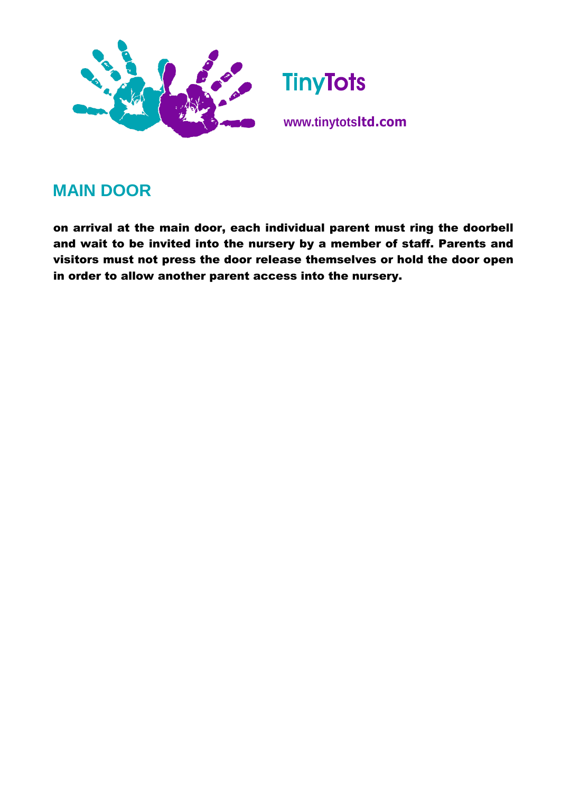

### **MAIN DOOR**

on arrival at the main door, each individual parent must ring the doorbell and wait to be invited into the nursery by a member of staff. Parents and visitors must not press the door release themselves or hold the door open in order to allow another parent access into the nursery.